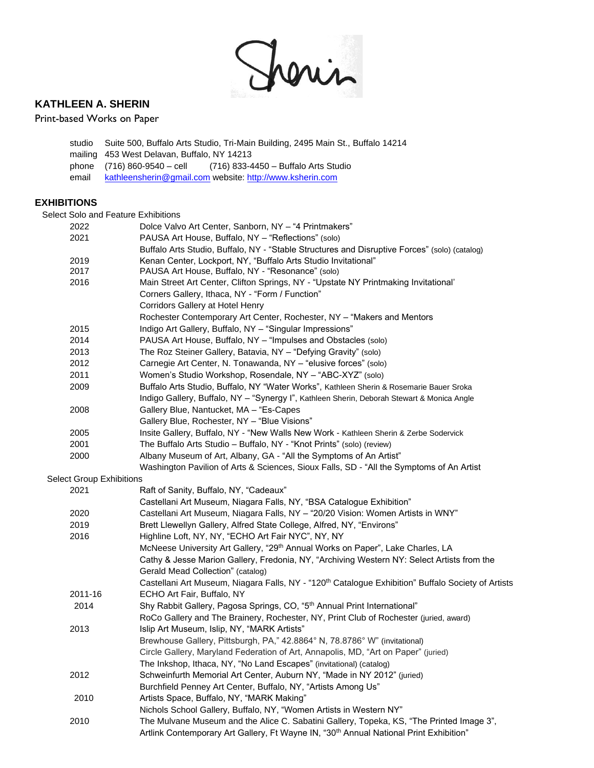

# **KATHLEEN A. SHERIN**

### Print-based Works on Paper

studio Suite 500, Buffalo Arts Studio, Tri-Main Building, 2495 Main St., Buffalo 14214 mailing 453 West Delavan, Buffalo, NY 14213 phone (716) 860-9540 – cell (716) 833-4450 – Buffalo Arts Studio email [kathleensherin@gmail.com](mailto:kathleensherin@gmail.com) website[: http://www.ksherin.com](http://www.ksherin.com/)

### **EXHIBITIONS**

Select Solo and Feature Exhibitions

| belect Solo and Feature Exhibitions |                                                                                                                |
|-------------------------------------|----------------------------------------------------------------------------------------------------------------|
| 2022                                | Dolce Valvo Art Center, Sanborn, NY - "4 Printmakers"                                                          |
| 2021                                | PAUSA Art House, Buffalo, NY - "Reflections" (solo)                                                            |
|                                     | Buffalo Arts Studio, Buffalo, NY - "Stable Structures and Disruptive Forces" (solo) (catalog)                  |
| 2019                                | Kenan Center, Lockport, NY, "Buffalo Arts Studio Invitational"                                                 |
| 2017                                | PAUSA Art House, Buffalo, NY - "Resonance" (solo)                                                              |
| 2016                                | Main Street Art Center, Clifton Springs, NY - "Upstate NY Printmaking Invitational"                            |
|                                     | Corners Gallery, Ithaca, NY - "Form / Function"                                                                |
|                                     | Corridors Gallery at Hotel Henry                                                                               |
|                                     | Rochester Contemporary Art Center, Rochester, NY - "Makers and Mentors                                         |
| 2015                                | Indigo Art Gallery, Buffalo, NY - "Singular Impressions"                                                       |
| 2014                                | PAUSA Art House, Buffalo, NY - "Impulses and Obstacles (solo)                                                  |
| 2013                                | The Roz Steiner Gallery, Batavia, NY - "Defying Gravity" (solo)                                                |
| 2012                                | Carnegie Art Center, N. Tonawanda, NY - "elusive forces" (solo)                                                |
| 2011                                | Women's Studio Workshop, Rosendale, NY - "ABC-XYZ" (solo)                                                      |
| 2009                                | Buffalo Arts Studio, Buffalo, NY "Water Works", Kathleen Sherin & Rosemarie Bauer Sroka                        |
|                                     | Indigo Gallery, Buffalo, NY - "Synergy I", Kathleen Sherin, Deborah Stewart & Monica Angle                     |
| 2008                                | Gallery Blue, Nantucket, MA - "Es-Capes                                                                        |
|                                     | Gallery Blue, Rochester, NY - "Blue Visions"                                                                   |
| 2005                                | Insite Gallery, Buffalo, NY - "New Walls New Work - Kathleen Sherin & Zerbe Sodervick                          |
| 2001                                | The Buffalo Arts Studio - Buffalo, NY - "Knot Prints" (solo) (review)                                          |
| 2000                                | Albany Museum of Art, Albany, GA - "All the Symptoms of An Artist"                                             |
|                                     | Washington Pavilion of Arts & Sciences, Sioux Falls, SD - "All the Symptoms of An Artist                       |
| <b>Select Group Exhibitions</b>     |                                                                                                                |
| 2021                                | Raft of Sanity, Buffalo, NY, "Cadeaux"                                                                         |
|                                     | Castellani Art Museum, Niagara Falls, NY, "BSA Catalogue Exhibition"                                           |
| 2020                                | Castellani Art Museum, Niagara Falls, NY - "20/20 Vision: Women Artists in WNY"                                |
| 2019                                | Brett Llewellyn Gallery, Alfred State College, Alfred, NY, "Environs"                                          |
| 2016                                | Highline Loft, NY, NY, "ECHO Art Fair NYC", NY, NY                                                             |
|                                     | McNeese University Art Gallery, "29 <sup>th</sup> Annual Works on Paper", Lake Charles, LA                     |
|                                     | Cathy & Jesse Marion Gallery, Fredonia, NY, "Archiving Western NY: Select Artists from the                     |
|                                     | Gerald Mead Collection" (catalog)                                                                              |
|                                     | Castellani Art Museum, Niagara Falls, NY - "120 <sup>th</sup> Catalogue Exhibition" Buffalo Society of Artists |
| 2011-16                             | ECHO Art Fair, Buffalo, NY                                                                                     |
| 2014                                | Shy Rabbit Gallery, Pagosa Springs, CO, "5th Annual Print International"                                       |
|                                     | RoCo Gallery and The Brainery, Rochester, NY, Print Club of Rochester (juried, award)                          |
| 2013                                | Islip Art Museum, Islip, NY, "MARK Artists"                                                                    |
|                                     | Brewhouse Gallery, Pittsburgh, PA," 42.8864° N, 78.8786° W" (invitational)                                     |
|                                     | Circle Gallery, Maryland Federation of Art, Annapolis, MD, "Art on Paper" (juried)                             |
|                                     | The Inkshop, Ithaca, NY, "No Land Escapes" (invitational) (catalog)                                            |
| 2012                                | Schweinfurth Memorial Art Center, Auburn NY, "Made in NY 2012" (juried)                                        |
|                                     | Burchfield Penney Art Center, Buffalo, NY, "Artists Among Us"                                                  |
| 2010                                | Artists Space, Buffalo, NY, "MARK Making"                                                                      |
|                                     | Nichols School Gallery, Buffalo, NY, "Women Artists in Western NY"                                             |
| 2010                                | The Mulvane Museum and the Alice C. Sabatini Gallery, Topeka, KS, "The Printed Image 3",                       |
|                                     | Artlink Contemporary Art Gallery, Ft Wayne IN, "30 <sup>th</sup> Annual National Print Exhibition"             |
|                                     |                                                                                                                |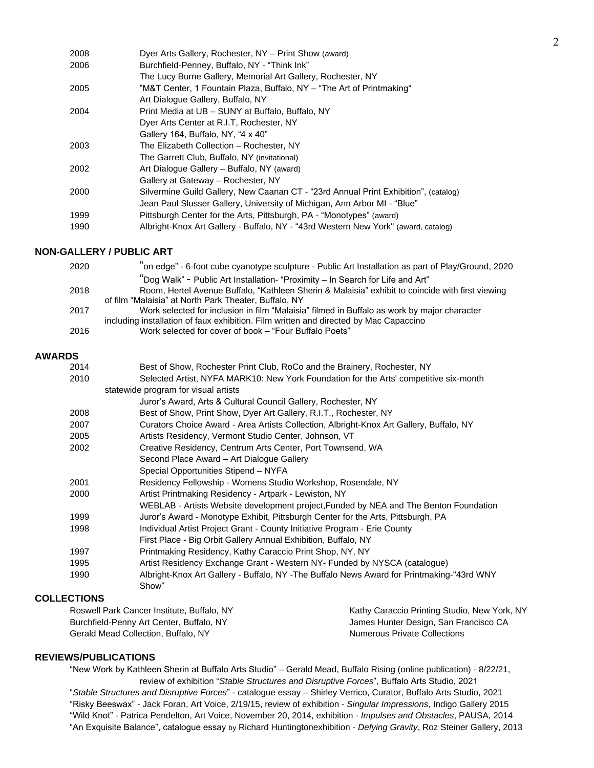| 2008 | Dyer Arts Gallery, Rochester, NY - Print Show (award)                               |
|------|-------------------------------------------------------------------------------------|
| 2006 | Burchfield-Penney, Buffalo, NY - "Think Ink"                                        |
|      | The Lucy Burne Gallery, Memorial Art Gallery, Rochester, NY                         |
| 2005 | "M&T Center, 1 Fountain Plaza, Buffalo, NY - "The Art of Printmaking"               |
|      | Art Dialogue Gallery, Buffalo, NY                                                   |
| 2004 | Print Media at UB - SUNY at Buffalo, Buffalo, NY                                    |
|      | Dyer Arts Center at R.I.T. Rochester, NY                                            |
|      | Gallery 164, Buffalo, NY, "4 x 40"                                                  |
| 2003 | The Elizabeth Collection - Rochester, NY                                            |
|      | The Garrett Club, Buffalo, NY (invitational)                                        |
| 2002 | Art Dialogue Gallery - Buffalo, NY (award)                                          |
|      | Gallery at Gateway - Rochester, NY                                                  |
| 2000 | Silvermine Guild Gallery, New Caanan CT - "23rd Annual Print Exhibition", (catalog) |
|      | Jean Paul Slusser Gallery, University of Michigan, Ann Arbor MI - "Blue"            |
| 1999 | Pittsburgh Center for the Arts, Pittsburgh, PA - "Monotypes" (award)                |
| 1990 | Albright-Knox Art Gallery - Buffalo, NY - "43rd Western New York" (award, catalog)  |
|      |                                                                                     |

### **NON-GALLERY / PUBLIC ART**

| 2020 | "on edge" - 6-foot cube cyanotype sculpture - Public Art Installation as part of Play/Ground, 2020 |
|------|----------------------------------------------------------------------------------------------------|
|      | "Dog Walk" - Public Art Installation- "Proximity – In Search for Life and Art"                     |
| 2018 | Room, Hertel Avenue Buffalo, "Kathleen Sherin & Malaisia" exhibit to coincide with first viewing   |
|      | of film "Malaisia" at North Park Theater, Buffalo, NY                                              |
| 2017 | Work selected for inclusion in film "Malaisia" filmed in Buffalo as work by major character        |
|      | including installation of faux exhibition. Film written and directed by Mac Capaccino              |
| 2016 | Work selected for cover of book – "Four Buffalo Poets"                                             |
|      |                                                                                                    |

#### **AWARDS**

| 2014 | Best of Show, Rochester Print Club, RoCo and the Brainery, Rochester, NY                  |
|------|-------------------------------------------------------------------------------------------|
| 2010 | Selected Artist, NYFA MARK10: New York Foundation for the Arts' competitive six-month     |
|      | statewide program for visual artists                                                      |
|      | Juror's Award, Arts & Cultural Council Gallery, Rochester, NY                             |
| 2008 | Best of Show, Print Show, Dyer Art Gallery, R.I.T., Rochester, NY                         |
| 2007 | Curators Choice Award - Area Artists Collection, Albright-Knox Art Gallery, Buffalo, NY   |
| 2005 | Artists Residency, Vermont Studio Center, Johnson, VT                                     |
| 2002 | Creative Residency, Centrum Arts Center, Port Townsend, WA                                |
|      | Second Place Award – Art Dialogue Gallery                                                 |
|      | Special Opportunities Stipend - NYFA                                                      |
| 2001 | Residency Fellowship - Womens Studio Workshop, Rosendale, NY                              |
| 2000 | Artist Printmaking Residency - Artpark - Lewiston, NY                                     |
|      | WEBLAB - Artists Website development project, Funded by NEA and The Benton Foundation     |
| 1999 | Juror's Award - Monotype Exhibit, Pittsburgh Center for the Arts, Pittsburgh, PA          |
| 1998 | Individual Artist Project Grant - County Initiative Program - Erie County                 |
|      | First Place - Big Orbit Gallery Annual Exhibition, Buffalo, NY                            |
| 1997 | Printmaking Residency, Kathy Caraccio Print Shop, NY, NY                                  |
| 1995 | Artist Residency Exchange Grant - Western NY- Funded by NYSCA (catalogue)                 |
| 1990 | Albright-Knox Art Gallery - Buffalo, NY -The Buffalo News Award for Printmaking-"43rd WNY |
|      | Show"                                                                                     |

## **COLLECTIONS**

| Roswell Park Cancer Institute, Buffalo, NY | Kathy Caraccio Printing Studio, New York, NY |
|--------------------------------------------|----------------------------------------------|
| Burchfield-Penny Art Center, Buffalo, NY   | James Hunter Design, San Francisco CA        |
| Gerald Mead Collection, Buffalo, NY        | <b>Numerous Private Collections</b>          |

### **REVIEWS/PUBLICATIONS**

"New Work by Kathleen Sherin at Buffalo Arts Studio" – Gerald Mead, Buffalo Rising (online publication) - 8/22/21, review of exhibition "*Stable Structures and Disruptive Forces*", Buffalo Arts Studio, 2021 "*Stable Structures and Disruptive Forces*" - catalogue essay – Shirley Verrico, Curator, Buffalo Arts Studio, 2021 "Risky Beeswax" - Jack Foran, Art Voice, 2/19/15, review of exhibition - *Singular Impressions*, Indigo Gallery 2015 "Wild Knot" - Patrica Pendelton, Art Voice, November 20, 2014, exhibition - *Impulses and Obstacles*, PAUSA, 2014 "An Exquisite Balance", catalogue essay by Richard Huntingtonexhibition - *Defying Gravity*, Roz Steiner Gallery, 2013